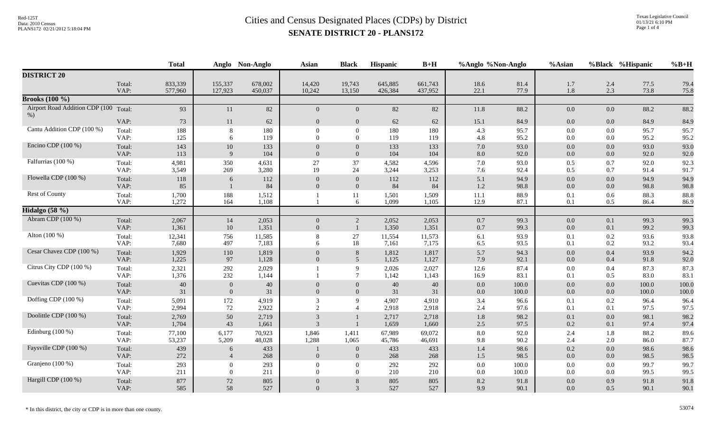|                                |                | <b>Total</b>       |                          | Anglo Non-Anglo    | <b>Asian</b>               | <b>Black</b>                    | Hispanic           | $B+H$              | %Anglo %Non-Anglo |                | %Asian             |                | %Black %Hispanic | $%B+H$         |
|--------------------------------|----------------|--------------------|--------------------------|--------------------|----------------------------|---------------------------------|--------------------|--------------------|-------------------|----------------|--------------------|----------------|------------------|----------------|
| <b>DISTRICT 20</b>             |                |                    |                          |                    |                            |                                 |                    |                    |                   |                |                    |                |                  |                |
|                                | Total:<br>VAP: | 833,339<br>577,960 | 155,337<br>127,923       | 678,002<br>450,037 | 14,420<br>10,242           | 19,743<br>13,150                | 645,885<br>426,384 | 661,743<br>437,952 | 18.6<br>22.1      | 81.4<br>77.9   | 1.7<br>1.8         | 2.4<br>2.3     | 77.5<br>73.8     | 79.4<br>75.8   |
| <b>Brooks</b> (100 %)          |                |                    |                          |                    |                            |                                 |                    |                    |                   |                |                    |                |                  |                |
| Airport Road Addition CDP (100 | Total:         | 93                 | 11                       | 82                 | $\overline{0}$             | $\overline{0}$                  | 82                 | $82\,$             | 11.8              | 88.2           | $0.0\,$            | 0.0            | 88.2             | 88.2           |
| $%$ )                          | VAP:           | $73\,$             | 11                       | 62                 | $\overline{0}$             | $\overline{0}$                  | 62                 | 62                 | 15.1              | 84.9           | $0.0\,$            | 0.0            | 84.9             | 84.9           |
| Cantu Addition CDP (100 %)     | Total:<br>VAP: | 188<br>125         | 8<br>6                   | 180<br>119         | $\Omega$<br>$\Omega$       | $\boldsymbol{0}$<br>$\Omega$    | 180<br>119         | 180<br>119         | 4.3<br>4.8        | 95.7<br>95.2   | $0.0\,$<br>0.0     | 0.0<br>$0.0\,$ | 95.7<br>95.2     | 95.7<br>95.2   |
| Encino CDP (100 %)             | Total:<br>VAP: | 143<br>113         | 10<br>$\mathbf{Q}$       | 133<br>104         | $\Omega$                   | $\Omega$<br>$\Omega$            | 133<br>104         | 133<br>104         | 7.0<br>8.0        | 93.0<br>92.0   | 0.0<br>0.0         | 0.0<br>0.0     | 93.0<br>92.0     | 93.0<br>92.0   |
| Falfurrias (100 %)             | Total:<br>VAP: | 4,981<br>3,549     | 350<br>269               | 4,631<br>3,280     | 27<br>19                   | 37<br>24                        | 4,582<br>3,244     | 4,596<br>3,253     | 7.0<br>7.6        | 93.0<br>92.4   | 0.5<br>0.5         | 0.7<br>0.7     | 92.0<br>91.4     | 92.3<br>91.7   |
| Flowella CDP (100 %)           | Total:<br>VAP: | 118<br>85          | 6                        | 112<br>84          | $\overline{0}$<br>$\Omega$ | $\overline{0}$<br>$\Omega$      | 112<br>84          | 112<br>84          | 5.1<br>1.2        | 94.9<br>98.8   | $0.0\,$<br>0.0     | 0.0<br>0.0     | 94.9<br>98.8     | 94.9<br>98.8   |
| Rest of County                 | Total:<br>VAP: | 1,700<br>1,272     | 188<br>164               | 1,512<br>1,108     |                            | 11<br>6                         | 1,501<br>1,099     | 1,509<br>1,105     | 11.1<br>12.9      | 88.9<br>87.1   | 0.1<br>0.1         | 0.6<br>0.5     | 88.3<br>86.4     | 88.8<br>86.9   |
| Hidalgo (58 %)                 |                |                    |                          |                    |                            |                                 |                    |                    |                   |                |                    |                |                  |                |
| Abram CDP (100 %)              | Total:<br>VAP: | 2,067<br>1,361     | 14<br>10                 | 2,053<br>1,351     | $\overline{0}$<br>$\Omega$ | $\overline{2}$<br>$\mathbf{1}$  | 2,052<br>1,350     | 2,053<br>1,351     | $0.7\,$<br>0.7    | 99.3<br>99.3   | $0.0\,$<br>$0.0\,$ | 0.1<br>0.1     | 99.3<br>99.2     | 99.3<br>99.3   |
| Alton (100 %)                  | Total:<br>VAP: | 12,341<br>7,680    | 756<br>497               | 11,585<br>7,183    | 6                          | 27<br>18                        | 11,554<br>7,161    | 11,573<br>7,175    | 6.1<br>6.5        | 93.9<br>93.5   | 0.1<br>0.1         | 0.2<br>0.2     | 93.6<br>93.2     | 93.8<br>93.4   |
| Cesar Chavez CDP (100 %)       | Total:<br>VAP: | 1,929<br>1,225     | 110<br>97                | 1,819<br>1,128     | $\theta$<br>$\Omega$       | 8<br>5                          | 1,812<br>1,125     | 1,817<br>1,127     | 5.7<br>7.9        | 94.3<br>92.1   | 0.0<br>0.0         | 0.4<br>0.4     | 93.9<br>91.8     | 94.2<br>92.0   |
| Citrus City CDP (100 %)        | Total:<br>VAP: | 2,321<br>1,376     | 292<br>232               | 2,029<br>1,144     |                            | $\mathbf{Q}$<br>$7\phantom{.0}$ | 2,026<br>1,142     | 2,027<br>1,143     | 12.6<br>16.9      | 87.4<br>83.1   | 0.0<br>0.1         | 0.4<br>0.5     | 87.3<br>83.0     | 87.3<br>83.1   |
| Cuevitas CDP (100 %)           | Total:<br>VAP: | $40\,$<br>31       | $\mathbf{0}$<br>$\Omega$ | 40<br>31           | $\Omega$                   | $\mathbf{0}$<br>$\overline{0}$  | 40<br>31           | 40<br>31           | 0.0<br>0.0        | 100.0<br>100.0 | 0.0<br>$0.0\,$     | 0.0<br>0.0     | 100.0<br>100.0   | 100.0<br>100.0 |
| Doffing CDP (100 %)            | Total:<br>VAP: | 5,091<br>2,994     | 172<br>72                | 4,919<br>2,922     | 3<br>$\overline{2}$        | 9                               | 4,907<br>2,918     | 4,910<br>2,918     | 3.4<br>2.4        | 96.6<br>97.6   | 0.1<br>0.1         | 0.2<br>0.1     | 96.4<br>97.5     | 96.4<br>97.5   |
| Doolittle CDP (100 %)          | Total:<br>VAP: | 2,769<br>1,704     | 50<br>43                 | 2,719<br>1,661     | 3<br>3                     |                                 | 2,717<br>1,659     | 2,718<br>1,660     | 1.8<br>2.5        | 98.2<br>97.5   | 0.1<br>0.2         | 0.0<br>0.1     | 98.1<br>97.4     | 98.2<br>97.4   |
| Edinburg $(100\%)$             | Total:<br>VAP: | 77,100<br>53,237   | 6,177<br>5,209           | 70,923<br>48,028   | 1,846<br>1,288             | 1,411<br>1,065                  | 67,989<br>45,786   | 69,072<br>46,691   | 8.0<br>9.8        | 92.0<br>90.2   | 2.4<br>2.4         | 1.8<br>2.0     | 88.2<br>86.0     | 89.6<br>87.7   |
| Faysville CDP (100 %)          | Total:<br>VAP: | 439<br>272         | 6<br>$\overline{4}$      | 433<br>268         | $\Omega$                   | $\mathbf{0}$<br>$\overline{0}$  | 433<br>268         | 433<br>268         | 1.4<br>1.5        | 98.6<br>98.5   | 0.2<br>0.0         | 0.0<br>0.0     | 98.6<br>98.5     | 98.6<br>98.5   |
| Granjeno (100 %)               | Total:<br>VAP: | 293<br>211         | $\theta$<br>$\theta$     | 293<br>211         | $\Omega$<br>$\Omega$       | $\Omega$<br>$\Omega$            | 292<br>210         | 292<br>210         | 0.0<br>0.0        | 100.0<br>100.0 | 0.0<br>0.0         | 0.0<br>0.0     | 99.7<br>99.5     | 99.7<br>99.5   |
| Hargill CDP (100 %)            | Total:<br>VAP: | 877<br>585         | $72\,$<br>58             | 805<br>527         | $\Omega$                   | 8<br>3                          | 805<br>527         | 805<br>527         | 8.2<br>9.9        | 91.8<br>90.1   | 0.0<br>0.0         | 0.9<br>0.5     | 91.8<br>90.1     | 91.8<br>90.1   |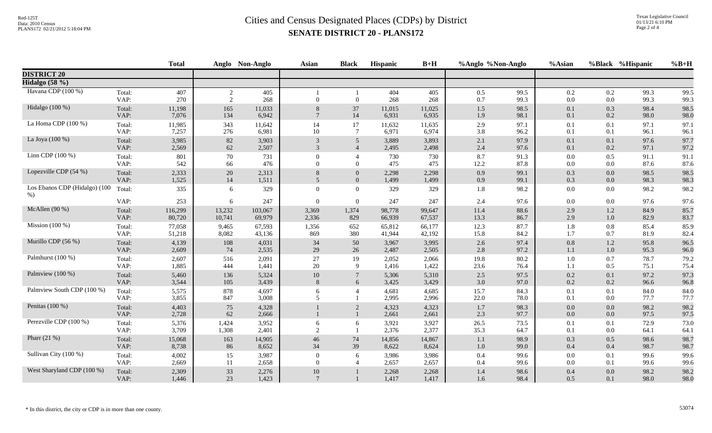|                                         |                | <b>Total</b>   |                | Anglo Non-Anglo | <b>Asian</b>          | <b>Black</b>    | <b>Hispanic</b> | $B+H$          | %Anglo %Non-Anglo |              | %Asian         |                | %Black %Hispanic | $%B+H$       |
|-----------------------------------------|----------------|----------------|----------------|-----------------|-----------------------|-----------------|-----------------|----------------|-------------------|--------------|----------------|----------------|------------------|--------------|
| <b>DISTRICT 20</b>                      |                |                |                |                 |                       |                 |                 |                |                   |              |                |                |                  |              |
| Hidalgo $(58\%)$                        |                |                |                |                 |                       |                 |                 |                |                   |              |                |                |                  |              |
| Havana CDP (100 %)                      | Total:<br>VAP: | 407<br>270     | 2<br>2         | 405<br>268      | $\Omega$              | $\overline{0}$  | 404<br>268      | 405<br>268     | 0.5<br>0.7        | 99.5<br>99.3 | 0.2<br>0.0     | 0.2<br>$0.0\,$ | 99.3<br>99.3     | 99.5<br>99.3 |
| Hidalgo (100 %)                         | Total:         | 11,198         | 165            | 11,033          | 8                     | 37              | 11,015          | 11,025         | 1.5               | 98.5         | 0.1            | 0.3            | 98.4             | 98.5         |
|                                         | VAP:           | 7,076          | 134            | 6,942           | $\overline{7}$        | 14              | 6,931           | 6,935          | 1.9               | 98.1         | 0.1            | 0.2            | 98.0             | 98.0         |
| La Homa CDP (100 %)                     | Total:         | 11,985         | 343            | 11,642          | 14                    | 17              | 11,632          | 11,635         | 2.9               | 97.1         | 0.1            | 0.1            | 97.1             | 97.1         |
|                                         | VAP:           | 7,257          | 276            | 6,981           | 10                    | $\tau$          | 6,971           | 6,974          | 3.8               | 96.2         | 0.1            | 0.1            | 96.1             | 96.1         |
| La Joya (100 %)                         | Total:         | 3,985          | 82             | 3,903           | 3                     | $\overline{5}$  | 3,889           | 3,893          | 2.1               | 97.9         | 0.1            | 0.1            | 97.6             | 97.7         |
|                                         | VAP:           | 2,569          | 62             | 2,507           | $\mathfrak{Z}$        | $\overline{4}$  | 2,495           | 2,498          | 2.4               | 97.6         | 0.1            | 0.2            | 97.1             | 97.2         |
| Linn CDP (100 %)                        | Total:         | 801            | 70             | 731             | $\Omega$              | $\overline{4}$  | 730             | 730            | 8.7               | 91.3         | 0.0            | 0.5            | 91.1             | 91.1         |
|                                         | VAP:           | 542            | 66             | 476             | $\Omega$              | $\theta$        | 475             | 475            | 12.2              | 87.8         | 0.0            | $0.0\,$        | 87.6             | 87.6         |
| Lopezville CDP (54 %)                   | Total:         | 2,333          | 20             | 2,313           | 8                     | $\mathbf{0}$    | 2,298           | 2,298          | 0.9               | 99.1         | 0.3            | $0.0\,$        | 98.5             | 98.5         |
|                                         | VAP:           | 1,525          | 14             | 1,511           | 5 <sup>5</sup>        | $\overline{0}$  | 1,499           | 1,499          | 0.9               | 99.1         | 0.3            | 0.0            | 98.3             | 98.3         |
| Los Ebanos CDP (Hidalgo) (100<br>$\%$ ) | Total:         | 335            | 6              | 329             | $\overline{0}$        | $\overline{0}$  | 329             | 329            | 1.8               | 98.2         | 0.0            | $0.0\,$        | 98.2             | 98.2         |
|                                         | VAP:           | 253            | 6              | 247             | $\Omega$              | $\mathbf{0}$    | 247             | 247            | 2.4               | 97.6         | $0.0\,$        | $0.0\,$        | 97.6             | 97.6         |
| McAllen $(90\%)$                        | Total:         | 116,299        | 13,232         | 103,067         | 3,369                 | 1,374           | 98,778          | 99,647         | 11.4              | 88.6         | 2.9            | 1.2            | 84.9             | 85.7         |
|                                         | VAP:           | 80,720         | 10,741         | 69,979          | 2,336                 | 829             | 66,939          | 67,537         | 13.3              | 86.7         | 2.9            | $1.0\,$        | 82.9             | 83.7         |
| Mission $(100\%)$                       | Total:         | 77,058         | 9,465          | 67,593          | 1,356                 | 652             | 65,812          | 66,177         | 12.3              | 87.7         | 1.8            | 0.8            | 85.4             | 85.9         |
|                                         | VAP:           | 51,218         | 8,082          | 43,136          | 869                   | 380             | 41,944          | 42,192         | 15.8              | 84.2         | 1.7            | 0.7            | 81.9             | 82.4         |
| Murillo CDP (56 %)                      | Total:         | 4,139          | 108            | 4,031           | 34                    | 50              | 3,967           | 3,995          | 2.6               | 97.4         | $0.8\,$        | 1.2            | 95.8             | 96.5         |
|                                         | VAP:           | 2,609          | 74             | 2,535           | 29                    | 26              | 2,487           | 2,505          | 2.8               | 97.2         | 1.1            | $1.0\,$        | 95.3             | 96.0         |
| Palmhurst (100 %)                       | Total:         | 2,607          | 516            | 2,091           | $27\,$                | 19              | 2,052           | 2,066          | 19.8              | 80.2         | $1.0\,$        | 0.7            | 78.7             | 79.2         |
|                                         | VAP:           | 1,885          | 444            | 1,441           | 20                    | 9               | 1,416           | 1,422          | 23.6              | 76.4         | 1.1            | 0.5            | 75.1             | 75.4         |
| Palmview (100 %)                        | Total:         | 5,460          | 136            | 5,324           | 10                    | $7\phantom{.0}$ | 5,306           | 5,310          | 2.5               | 97.5         | 0.2            | 0.1            | 97.2             | 97.3         |
|                                         | VAP:           | 3,544          | 105            | 3,439           | 8                     | 6               | 3,425           | 3,429          | 3.0               | 97.0         | 0.2            | 0.2            | 96.6             | 96.8         |
| Palmview South CDP (100 %)              | Total:<br>VAP: | 5,575<br>3,855 | 878<br>847     | 4,697<br>3,008  | 6<br>5                |                 | 4,681<br>2,995  | 4,685<br>2,996 | 15.7<br>22.0      | 84.3<br>78.0 | 0.1<br>0.1     | 0.1<br>$0.0\,$ | 84.0<br>77.7     | 84.0<br>77.7 |
| Penitas (100 %)                         | Total:<br>VAP: | 4,403<br>2,728 | 75<br>62       | 4,328<br>2,666  |                       | 2               | 4,323<br>2,661  | 4,323<br>2,661 | 1.7<br>2.3        | 98.3<br>97.7 | 0.0<br>0.0     | 0.0<br>$0.0\,$ | 98.2<br>97.5     | 98.2<br>97.5 |
| Perezville CDP (100 %)                  | Total:<br>VAP: | 5,376<br>3,709 | 1,424<br>1,308 | 3,952<br>2,401  | 6<br>2                | 6               | 3,921<br>2,376  | 3,927<br>2,377 | 26.5<br>35.3      | 73.5<br>64.7 | 0.1<br>0.1     | 0.1<br>$0.0\,$ | 72.9<br>64.1     | 73.0<br>64.1 |
| Pharr $(21 %)$                          | Total:         | 15,068         | 163            | 14,905          | 46                    | 74              | 14,856          | 14,867         | 1.1               | 98.9         | 0.3            | 0.5            | 98.6             | 98.7         |
|                                         | VAP:           | 8,738          | 86             | 8,652           | 34                    | 39              | 8,622           | 8,624          | $1.0\,$           | 99.0         | 0.4            | 0.4            | 98.7             | 98.7         |
| Sullivan City (100 %)                   | Total:<br>VAP: | 4,002<br>2,669 | 15<br>11       | 3,987<br>2,658  | $\Omega$<br>$\theta$  | 6               | 3,986<br>2,657  | 3,986<br>2,657 | 0.4<br>0.4        | 99.6<br>99.6 | 0.0<br>$0.0\,$ | 0.1<br>0.1     | 99.6<br>99.6     | 99.6<br>99.6 |
| West Sharyland CDP (100 %)              | Total:<br>VAP: | 2,309<br>1,446 | 33<br>23       | 2,276<br>1,423  | 10<br>$7\phantom{.0}$ |                 | 2,268<br>1,417  | 2,268<br>1,417 | 1.4<br>1.6        | 98.6<br>98.4 | 0.4<br>0.5     | 0.0<br>0.1     | 98.2<br>98.0     | 98.2<br>98.0 |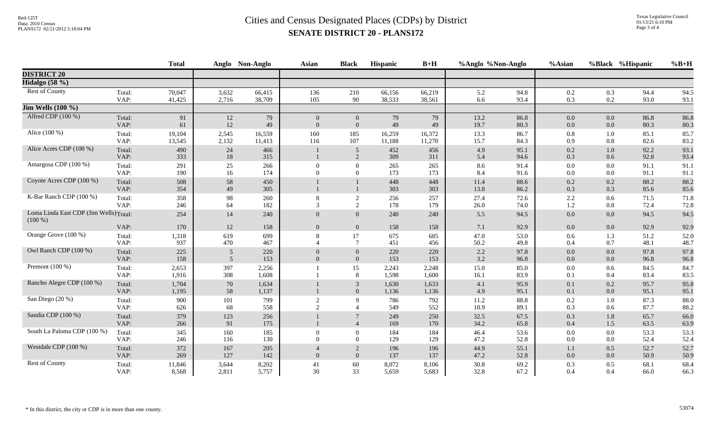|                                                     |                | <b>Total</b>     |                | Anglo Non-Anglo  | <b>Asian</b>                                  | <b>Black</b>                     | Hispanic         | $B+H$            | %Anglo %Non-Anglo |              | %Asian         |                    | %Black %Hispanic | $%B+H$       |
|-----------------------------------------------------|----------------|------------------|----------------|------------------|-----------------------------------------------|----------------------------------|------------------|------------------|-------------------|--------------|----------------|--------------------|------------------|--------------|
| <b>DISTRICT 20</b>                                  |                |                  |                |                  |                                               |                                  |                  |                  |                   |              |                |                    |                  |              |
| Hidalgo (58 %)                                      |                |                  |                |                  |                                               |                                  |                  |                  |                   |              |                |                    |                  |              |
| Rest of County                                      | Total:<br>VAP: | 70,047<br>41,425 | 3,632<br>2,716 | 66,415<br>38,709 | 136<br>105                                    | 210<br>90                        | 66,156<br>38,533 | 66,219<br>38,561 | 5.2<br>6.6        | 94.8<br>93.4 | 0.2<br>0.3     | 0.3<br>0.2         | 94.4<br>93.0     | 94.5<br>93.1 |
| $\overline{\text{Jim Wells}}$ (100 %)               |                |                  |                |                  |                                               |                                  |                  |                  |                   |              |                |                    |                  |              |
| Alfred CDP (100 %)                                  | Total:<br>VAP: | 91<br>61         | 12<br>12       | 79<br>49         | $\overline{0}$<br>$\Omega$                    | $\overline{0}$<br>$\overline{0}$ | 79<br>49         | 79<br>49         | 13.2<br>19.7      | 86.8<br>80.3 | $0.0\,$<br>0.0 | $0.0\,$<br>0.0     | 86.8<br>80.3     | 86.8<br>80.3 |
| Alice (100 %)                                       | Total:<br>VAP: | 19,104<br>13,545 | 2,545<br>2,132 | 16,559<br>11,413 | 160<br>116                                    | 185<br>107                       | 16,259<br>11,188 | 16,372<br>11,270 | 13.3<br>15.7      | 86.7<br>84.3 | 0.8<br>0.9     | $1.0\,$<br>$0.8\,$ | 85.1<br>82.6     | 85.7<br>83.2 |
| Alice Acres CDP (100 %)                             | Total:<br>VAP: | 490<br>333       | 24<br>$18\,$   | 466<br>315       |                                               | 5<br>2                           | 452<br>309       | 456<br>311       | 4.9<br>5.4        | 95.1<br>94.6 | 0.2<br>0.3     | $1.0\,$<br>0.6     | 92.2<br>92.8     | 93.1<br>93.4 |
| Amargosa CDP (100 %)                                | Total:<br>VAP: | 291<br>190       | 25<br>16       | 266<br>174       | $\Omega$                                      | $\overline{0}$<br>$\Omega$       | 265<br>173       | 265<br>173       | 8.6<br>8.4        | 91.4<br>91.6 | 0.0<br>0.0     | $0.0\,$<br>0.0     | 91.1<br>91.1     | 91.1<br>91.1 |
| Coyote Acres CDP (100 %)                            | Total:<br>VAP: | 508<br>354       | 58<br>49       | 450<br>305       |                                               |                                  | 448<br>303       | 448<br>303       | 11.4<br>13.8      | 88.6<br>86.2 | 0.2<br>0.3     | 0.2<br>0.3         | 88.2<br>85.6     | 88.2<br>85.6 |
| K-Bar Ranch CDP (100 %)                             | Total:<br>VAP: | 358<br>246       | 98<br>64       | 260<br>182       | 8<br>$\mathcal{R}$                            | 2<br>2                           | 256<br>178       | 257<br>179       | 27.4<br>26.0      | 72.6<br>74.0 | 2.2<br>1.2     | 0.6<br>$0.8\,$     | 71.5<br>72.4     | 71.8<br>72.8 |
| Loma Linda East CDP (Jim Wells) Total:<br>$(100\%)$ |                | 254              | 14             | 240              | $\overline{0}$                                | $\overline{0}$                   | 240              | 240              | 5.5               | 94.5         | 0.0            | 0.0                | 94.5             | 94.5         |
|                                                     | VAP:           | 170              | 12             | 158              | $\overline{0}$                                | $\mathbf{0}$                     | 158              | 158              | 7.1               | 92.9         | 0.0            | 0.0                | 92.9             | 92.9         |
| Orange Grove (100 %)                                | Total:<br>VAP: | 1,318<br>937     | 619<br>470     | 699<br>467       | 8                                             | 17<br>$\tau$                     | 675<br>451       | 685<br>456       | 47.0<br>50.2      | 53.0<br>49.8 | 0.6<br>0.4     | 1.3<br>0.7         | 51.2<br>48.1     | 52.0<br>48.7 |
| Owl Ranch CDP (100 %)                               | Total:<br>VAP: | 225<br>158       | 5<br>5         | 220<br>153       | $\Omega$<br>$\Omega$                          | $\overline{0}$<br>$\overline{0}$ | 220<br>153       | 220<br>153       | 2.2<br>3.2        | 97.8<br>96.8 | 0.0<br>0.0     | 0.0<br>0.0         | 97.8<br>96.8     | 97.8<br>96.8 |
| Premont $(100\%)$                                   | Total:<br>VAP: | 2,653<br>1,916   | 397<br>308     | 2,256<br>1,608   |                                               | 15<br>8                          | 2,243<br>1,598   | 2,248<br>1,600   | 15.0<br>16.1      | 85.0<br>83.9 | 0.0<br>0.1     | 0.6<br>0.4         | 84.5<br>83.4     | 84.7<br>83.5 |
| Rancho Alegre CDP (100 %)                           | Total:<br>VAP: | 1,704<br>1,195   | $70\,$<br>58   | 1,634<br>1,137   |                                               | 3<br>$\overline{0}$              | 1,630<br>1,136   | 1,633<br>1,136   | 4.1<br>4.9        | 95.9<br>95.1 | 0.1<br>0.1     | 0.2<br>$0.0\,$     | 95.7<br>95.1     | 95.8<br>95.1 |
| San Diego (20 %)                                    | Total:<br>VAP: | 900<br>626       | 101<br>68      | 799<br>558       | $\overline{2}$<br>$\mathcal{D}_{\mathcal{L}}$ | $\mathbf{Q}$                     | 786<br>549       | 792<br>552       | 11.2<br>10.9      | 88.8<br>89.1 | 0.2<br>0.3     | $1.0\,$<br>0.6     | 87.3<br>87.7     | 88.0<br>88.2 |
| Sandia CDP (100 %)                                  | Total:<br>VAP: | 379<br>266       | 123<br>91      | 256<br>175       |                                               | $\overline{7}$<br>$\overline{4}$ | 249<br>169       | 250<br>170       | 32.5<br>34.2      | 67.5<br>65.8 | 0.3<br>0.4     | 1.8<br>1.5         | 65.7<br>63.5     | 66.0<br>63.9 |
| South La Paloma CDP (100 %)                         | Total:<br>VAP: | 345<br>246       | 160<br>116     | 185<br>130       | $\Omega$<br>$\Omega$                          | $\Omega$<br>$\Omega$             | 184<br>129       | 184<br>129       | 46.4<br>47.2      | 53.6<br>52.8 | 0.0<br>0.0     | 0.0<br>0.0         | 53.3<br>52.4     | 53.3<br>52.4 |
| Westdale CDP (100 %)                                | Total:<br>VAP: | 372<br>269       | 167<br>127     | 205<br>142       | $\overline{0}$                                | 2<br>$\Omega$                    | 196<br>137       | 196<br>137       | 44.9<br>47.2      | 55.1<br>52.8 | 1.1<br>0.0     | 0.5<br>0.0         | 52.7<br>50.9     | 52.7<br>50.9 |
| Rest of County                                      | Total:<br>VAP: | 11,846<br>8,568  | 3,644<br>2,811 | 8,202<br>5,757   | 41<br>30                                      | 60<br>33                         | 8,072<br>5,659   | 8,106<br>5,683   | 30.8<br>32.8      | 69.2<br>67.2 | 0.3<br>0.4     | 0.5<br>0.4         | 68.1<br>66.0     | 68.4<br>66.3 |